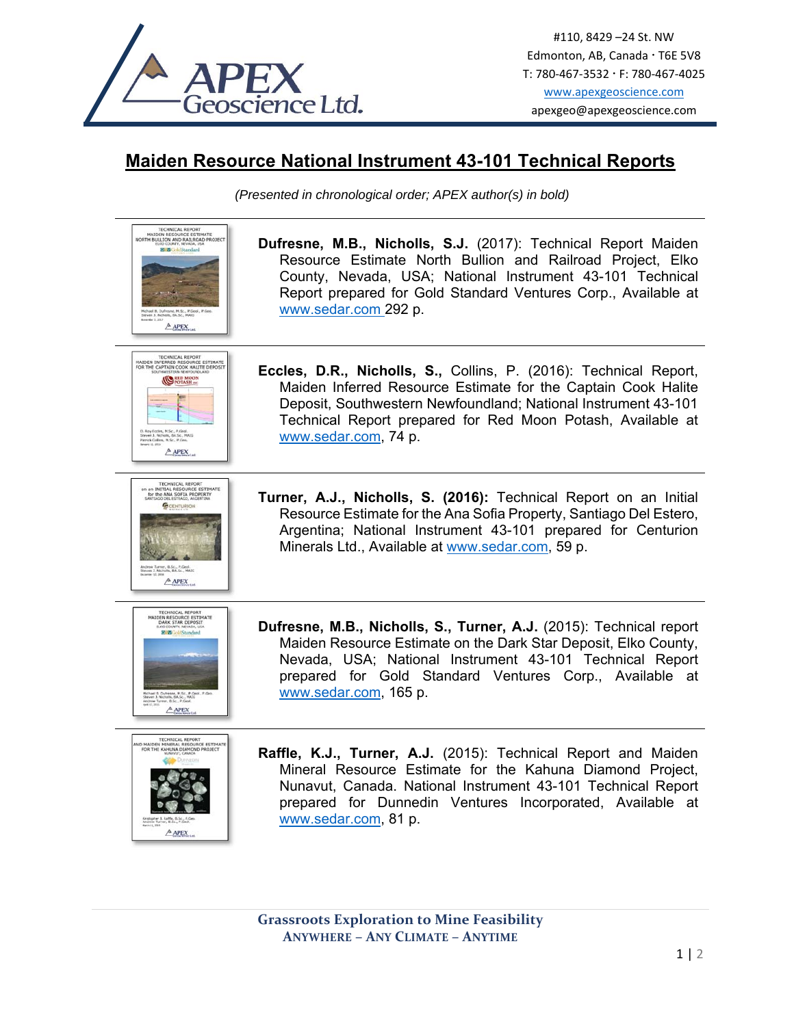

## **Maiden Resource National Instrument 43-101 Technical Reports**

*(Presented in chronological order; APEX author(s) in bold)* 

| <b>TECHNICAL REPORT</b><br>MAIDEN RESOURCE ESTIMATE<br>NORTH BULLION AND RAILROAD PROJECT<br>ELKO COUNTY, NEVADA, USA<br><b>E E</b> GoldStandard<br>(chael B. Dufresne, M.Sc., P.Geol., P.<br>Steven 3. Nichells, BA Sr., MA30<br>$A$ APEX | Dufresne, M.B., Nicholls, S.J. (2017): Technical Report Maiden<br>Resource Estimate North Bullion and Railroad Project, Elko<br>County, Nevada, USA; National Instrument 43-101 Technical<br>Report prepared for Gold Standard Ventures Corp., Available at<br>www.sedar.com 292 p.         |
|--------------------------------------------------------------------------------------------------------------------------------------------------------------------------------------------------------------------------------------------|---------------------------------------------------------------------------------------------------------------------------------------------------------------------------------------------------------------------------------------------------------------------------------------------|
| <b>TECHNICAL REPORT</b><br>MAIDEN INFERRED RESOURCE ESTIMATE<br>FOR THE CAPTAIN COOK HALITE DEPOSIT<br><b>CORED MOON</b><br>D. Roy Eccles, M.Sc., P.Geol.<br>Steven J. Nicholls, DA.Sc., MA(G<br>Patrick Collins, M.Sc., P.Geo.<br>APEX    | Eccles, D.R., Nicholls, S., Collins, P. (2016): Technical Report,<br>Maiden Inferred Resource Estimate for the Captain Cook Halite<br>Deposit, Southwestern Newfoundland; National Instrument 43-101<br>Technical Report prepared for Red Moon Potash, Available at<br>www.sedar.com, 74 p. |
| <b>TECHNICAL REPORT</b><br>on an INITIAL RESOURCE ESTIMATE<br>for the ANA SOFIA PROPERTY<br>SO DEL ESTRAGO, ARGENTINA<br>umer, B.Sc., P.Geol.<br>Nicholls, BA.Sc., MAIG<br>$A$ APEX                                                        | Turner, A.J., Nicholls, S. (2016): Technical Report on an Initial<br>Resource Estimate for the Ana Sofia Property, Santiago Del Estero,<br>Argentina; National Instrument 43-101 prepared for Centurion<br>Minerals Ltd., Available at www.sedar.com, 59 p.                                 |
| TECHNICAL REPORT<br>MAIDEN RESOURCE ESTIMATE<br>DARK STAR DEPOSIT<br><b>ELKO COUNTY, NEVADA</b><br><b>Rigg GoldStandard</b><br><b>APEX</b>                                                                                                 | Dufresne, M.B., Nicholls, S., Turner, A.J. (2015): Technical report<br>Maiden Resource Estimate on the Dark Star Deposit, Elko County,<br>Nevada, USA; National Instrument 43-101 Technical Report<br>prepared for Gold Standard Ventures Corp., Available at<br>www.sedar.com, 165 p.      |
| TECHNICAL REPORT<br>NO MAIDEN MINERAL RESOURCE ESTIMATE<br>FOR THE KAHUNA DIAMOND PR<br>$A$ APEX                                                                                                                                           | Raffle, K.J., Turner, A.J. (2015): Technical Report and Maiden<br>Mineral Resource Estimate for the Kahuna Diamond Project,<br>Nunavut, Canada. National Instrument 43-101 Technical Report<br>prepared for Dunnedin Ventures Incorporated, Available at<br>www.sedar.com, 81 p.            |